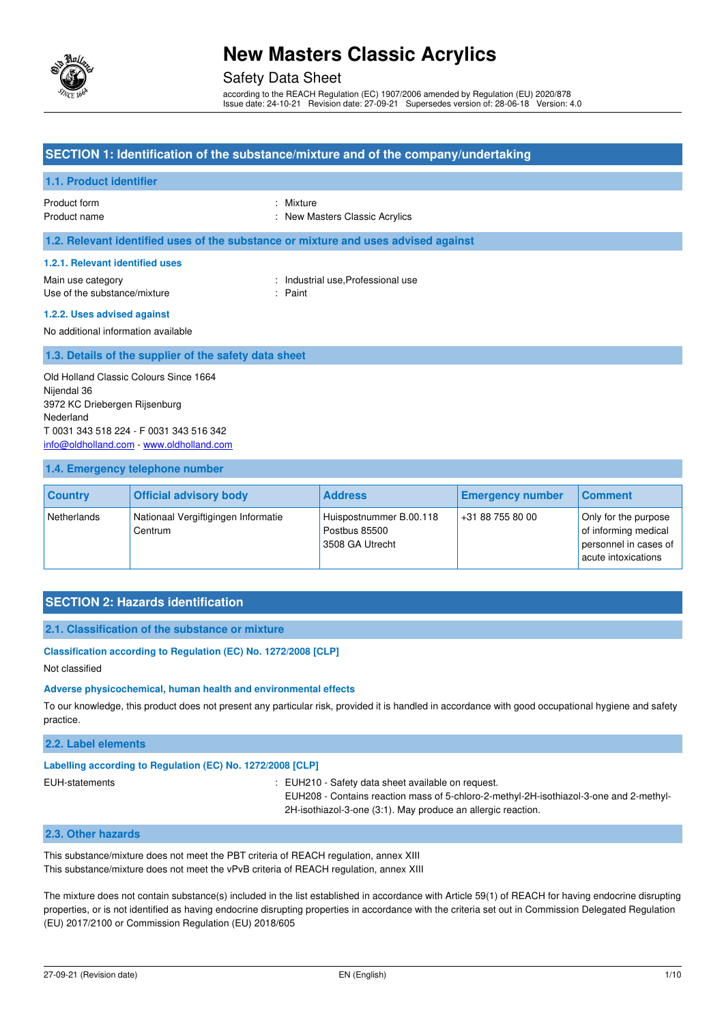

# Safety Data Sheet

according to the REACH Regulation (EC) 1907/2006 amended by Regulation (EU) 2020/878 Issue date: 24-10-21 Revision date: 27-09-21 Supersedes version of: 28-06-18 Version: 4.0

# **SECTION 1: Identification of the substance/mixture and of the company/undertaking 1.1. Product identifier**  Product form : Nixture Product name  $\qquad \qquad$ : New Masters Classic Acrylics **1.2. Relevant identified uses of the substance or mixture and uses advised against 1.2.1. Relevant identified uses**  Main use category **Example 20** and the United States of the Industrial use, Professional use Use of the substance/mixture in the substance in the set of the substance in the set of the substance in the substance in the set of the set of the set of the set of the set of the set of the set of the set of the set of t **1.2.2. Uses advised against**  No additional information available **1.3. Details of the supplier of the safety data sheet**  Old Holland Classic Colours Since 1664 Nijendal 36

3972 KC Driebergen Rijsenburg Nederland T 0031 343 518 224 - F 0031 343 516 342 [info@oldholland.com](mailto:info@oldholland.com) - [www.oldholland.com](http://www.oldholland.com/)

### **1.4. Emergency telephone number**

| <b>Country</b> | <b>Official advisory body</b>                  | <b>Address</b>                                              | <b>Emergency number</b> | Comment                                                                                      |
|----------------|------------------------------------------------|-------------------------------------------------------------|-------------------------|----------------------------------------------------------------------------------------------|
| Netherlands    | Nationaal Vergiftigingen Informatie<br>Centrum | Huispostnummer B.00.118<br>Postbus 85500<br>3508 GA Utrecht | +31 88 755 80 00        | Only for the purpose<br>of informing medical<br>personnel in cases of<br>acute intoxications |

# **SECTION 2: Hazards identification**

### **2.1. Classification of the substance or mixture**

#### **Classification according to Regulation (EC) No. 1272/2008 [CLP]**

Not classified

#### **Adverse physicochemical, human health and environmental effects**

To our knowledge, this product does not present any particular risk, provided it is handled in accordance with good occupational hygiene and safety practice.

### **2.2. Label elements**

# **Labelling according to Regulation (EC) No. 1272/2008 [CLP]**

EUH-statements : EUH210 - Safety data sheet available on request.

EUH208 - Contains reaction mass of 5-chloro-2-methyl-2H-isothiazol-3-one and 2-methyl-2H-isothiazol-3-one (3:1). May produce an allergic reaction.

# **2.3. Other hazards**

This substance/mixture does not meet the PBT criteria of REACH regulation, annex XIII This substance/mixture does not meet the vPvB criteria of REACH regulation, annex XIII

The mixture does not contain substance(s) included in the list established in accordance with Article 59(1) of REACH for having endocrine disrupting properties, or is not identified as having endocrine disrupting properties in accordance with the criteria set out in Commission Delegated Regulation (EU) 2017/2100 or Commission Regulation (EU) 2018/605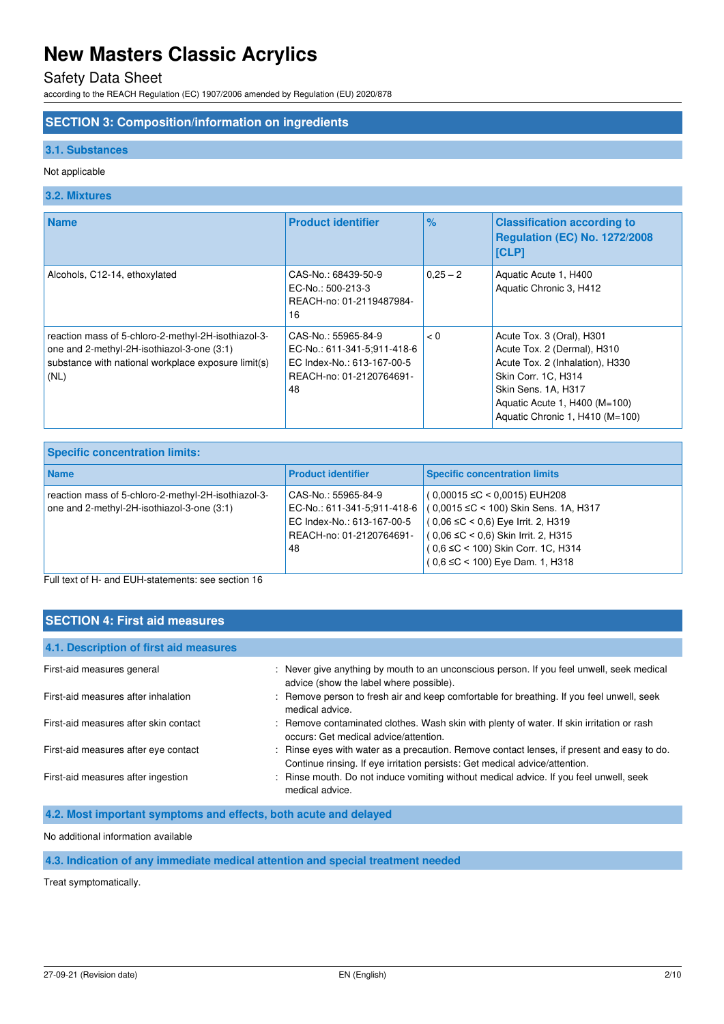# Safety Data Sheet

according to the REACH Regulation (EC) 1907/2006 amended by Regulation (EU) 2020/878

# **SECTION 3: Composition/information on ingredients**

### **3.1. Substances**

## Not applicable

# **3.2. Mixtures**

| <b>Name</b>                                                                                                                                                      | <b>Product identifier</b>                                                                                          | $\%$       | <b>Classification according to</b><br><b>Regulation (EC) No. 1272/2008</b><br><b>[CLP]</b>                                                                                                                    |
|------------------------------------------------------------------------------------------------------------------------------------------------------------------|--------------------------------------------------------------------------------------------------------------------|------------|---------------------------------------------------------------------------------------------------------------------------------------------------------------------------------------------------------------|
| Alcohols, C12-14, ethoxylated                                                                                                                                    | CAS-No.: 68439-50-9<br>EC-No.: 500-213-3<br>REACH-no: 01-2119487984-<br>16                                         | $0.25 - 2$ | Aquatic Acute 1, H400<br>Aquatic Chronic 3, H412                                                                                                                                                              |
| reaction mass of 5-chloro-2-methyl-2H-isothiazol-3-<br>one and 2-methyl-2H-isothiazol-3-one (3:1)<br>substance with national workplace exposure limit(s)<br>(NL) | CAS-No.: 55965-84-9<br>EC-No.: 611-341-5:911-418-6<br>EC Index-No.: 613-167-00-5<br>REACH-no: 01-2120764691-<br>48 | < 0        | Acute Tox. 3 (Oral), H301<br>Acute Tox. 2 (Dermal), H310<br>Acute Tox. 2 (Inhalation), H330<br>Skin Corr. 1C, H314<br>Skin Sens. 1A, H317<br>Aquatic Acute 1, H400 (M=100)<br>Aquatic Chronic 1, H410 (M=100) |

| <b>Specific concentration limits:</b>                                                             |                                                                                                                    |                                                                                                                                                                                                                                                |  |  |
|---------------------------------------------------------------------------------------------------|--------------------------------------------------------------------------------------------------------------------|------------------------------------------------------------------------------------------------------------------------------------------------------------------------------------------------------------------------------------------------|--|--|
| <b>Name</b>                                                                                       | <b>Product identifier</b>                                                                                          | <b>Specific concentration limits</b>                                                                                                                                                                                                           |  |  |
| reaction mass of 5-chloro-2-methyl-2H-isothiazol-3-<br>one and 2-methyl-2H-isothiazol-3-one (3:1) | CAS-No.: 55965-84-9<br>EC-No.: 611-341-5:911-418-6<br>EC Index-No.: 613-167-00-5<br>REACH-no: 01-2120764691-<br>48 | $(0.00015 \leq C < 0.0015)$ EUH208<br>(0,0015 ≤C < 100) Skin Sens. 1A, H317<br>$(0.06 \leq C < 0.6)$ Eye Irrit. 2, H319<br>$(0.06 \leq C < 0.6)$ Skin Irrit. 2, H315<br>( 0,6 ≤C < 100) Skin Corr. 1C, H314<br>(0,6 ≤C < 100) Eye Dam. 1, H318 |  |  |

Full text of H- and EUH-statements: see section 16

| <b>SECTION 4: First aid measures</b>   |                                                                                                                                                                           |  |  |  |
|----------------------------------------|---------------------------------------------------------------------------------------------------------------------------------------------------------------------------|--|--|--|
| 4.1. Description of first aid measures |                                                                                                                                                                           |  |  |  |
| First-aid measures general             | : Never give anything by mouth to an unconscious person. If you feel unwell, seek medical<br>advice (show the label where possible).                                      |  |  |  |
| First-aid measures after inhalation    | : Remove person to fresh air and keep comfortable for breathing. If you feel unwell, seek<br>medical advice.                                                              |  |  |  |
| First-aid measures after skin contact  | : Remove contaminated clothes. Wash skin with plenty of water. If skin irritation or rash<br>occurs: Get medical advice/attention.                                        |  |  |  |
| First-aid measures after eye contact   | : Rinse eyes with water as a precaution. Remove contact lenses, if present and easy to do.<br>Continue rinsing. If eye irritation persists: Get medical advice/attention. |  |  |  |
| First-aid measures after ingestion     | : Rinse mouth. Do not induce vomiting without medical advice. If you feel unwell, seek<br>medical advice.                                                                 |  |  |  |

**4.2. Most important symptoms and effects, both acute and delayed** 

No additional information available

# **4.3. Indication of any immediate medical attention and special treatment needed**

Treat symptomatically.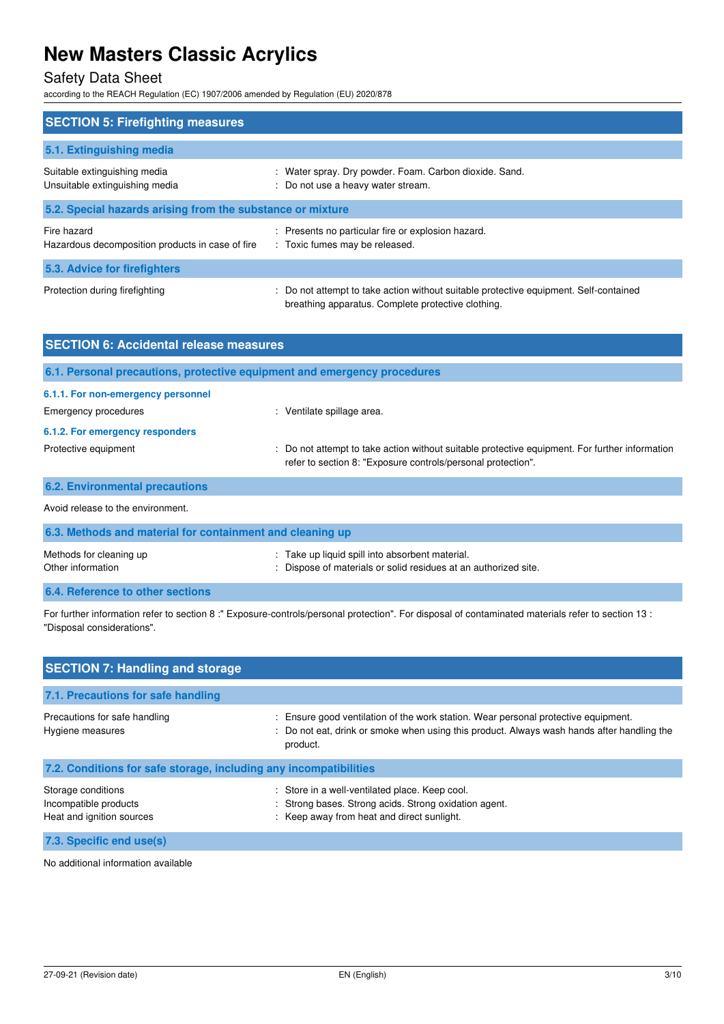# Safety Data Sheet

according to the REACH Regulation (EC) 1907/2006 amended by Regulation (EU) 2020/878

| <b>SECTION 5: Firefighting measures</b>                         |                                                                                                                                             |  |  |  |
|-----------------------------------------------------------------|---------------------------------------------------------------------------------------------------------------------------------------------|--|--|--|
| 5.1. Extinguishing media                                        |                                                                                                                                             |  |  |  |
| Suitable extinguishing media<br>Unsuitable extinguishing media  | : Water spray. Dry powder. Foam. Carbon dioxide. Sand.<br>: Do not use a heavy water stream.                                                |  |  |  |
| 5.2. Special hazards arising from the substance or mixture      |                                                                                                                                             |  |  |  |
| Fire hazard<br>Hazardous decomposition products in case of fire | : Presents no particular fire or explosion hazard.<br>: Toxic fumes may be released.                                                        |  |  |  |
| 5.3. Advice for firefighters                                    |                                                                                                                                             |  |  |  |
| Protection during firefighting                                  | : Do not attempt to take action without suitable protective equipment. Self-contained<br>breathing apparatus. Complete protective clothing. |  |  |  |

| <b>SECTION 6: Accidental release measures</b>                            |                                                                                                                                                              |  |  |  |
|--------------------------------------------------------------------------|--------------------------------------------------------------------------------------------------------------------------------------------------------------|--|--|--|
| 6.1. Personal precautions, protective equipment and emergency procedures |                                                                                                                                                              |  |  |  |
| 6.1.1. For non-emergency personnel<br>Emergency procedures               | : Ventilate spillage area.                                                                                                                                   |  |  |  |
| 6.1.2. For emergency responders<br>Protective equipment                  | Do not attempt to take action without suitable protective equipment. For further information<br>refer to section 8: "Exposure controls/personal protection". |  |  |  |
| <b>6.2. Environmental precautions</b>                                    |                                                                                                                                                              |  |  |  |
| Avoid release to the environment.                                        |                                                                                                                                                              |  |  |  |
| 6.3. Methods and material for containment and cleaning up                |                                                                                                                                                              |  |  |  |
| Methods for cleaning up<br>Other information                             | Take up liquid spill into absorbent material.<br>Dispose of materials or solid residues at an authorized site.                                               |  |  |  |

**6.4. Reference to other sections** 

For further information refer to section 8 :" Exposure-controls/personal protection". For disposal of contaminated materials refer to section 13 : "Disposal considerations".

| <b>SECTION 7: Handling and storage</b>                                   |                                                                                                                                                                                              |
|--------------------------------------------------------------------------|----------------------------------------------------------------------------------------------------------------------------------------------------------------------------------------------|
| 7.1. Precautions for safe handling                                       |                                                                                                                                                                                              |
| Precautions for safe handling<br>Hygiene measures                        | : Ensure good ventilation of the work station. Wear personal protective equipment.<br>: Do not eat, drink or smoke when using this product. Always wash hands after handling the<br>product. |
| 7.2. Conditions for safe storage, including any incompatibilities        |                                                                                                                                                                                              |
| Storage conditions<br>Incompatible products<br>Heat and ignition sources | : Store in a well-ventilated place. Keep cool.<br>: Strong bases. Strong acids. Strong oxidation agent.<br>: Keep away from heat and direct sunlight.                                        |
| 7.3. Specific end use(s)                                                 |                                                                                                                                                                                              |

No additional information available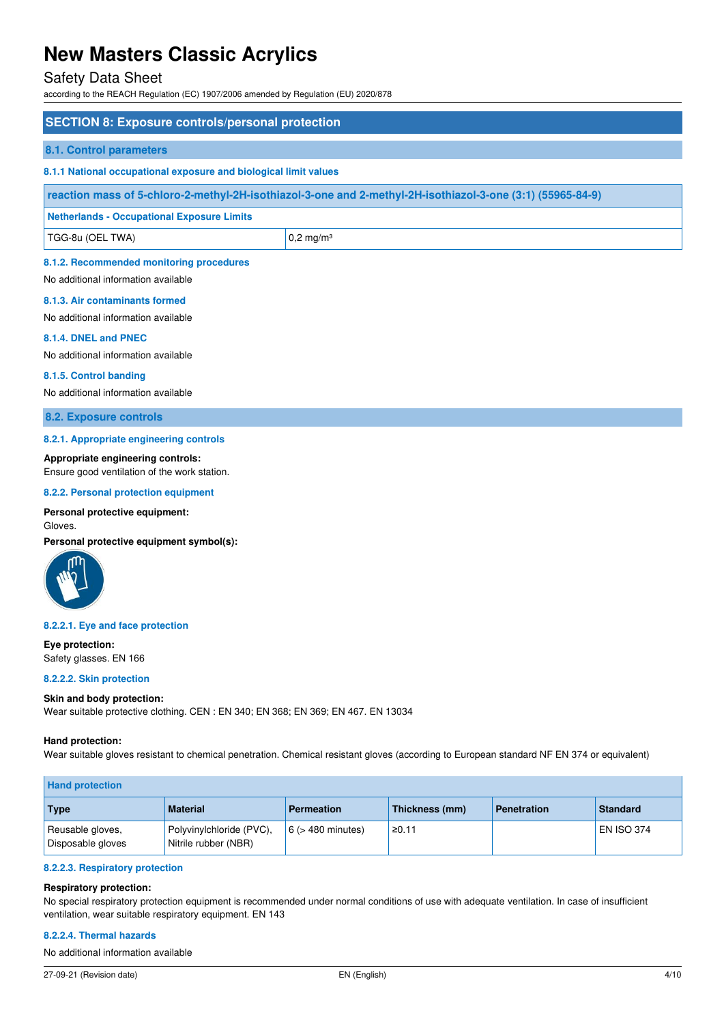# Safety Data Sheet

according to the REACH Regulation (EC) 1907/2006 amended by Regulation (EU) 2020/878

| <b>SECTION 8: Exposure controls/personal protection</b>                                                    |                      |  |  |
|------------------------------------------------------------------------------------------------------------|----------------------|--|--|
| 8.1. Control parameters                                                                                    |                      |  |  |
| 8.1.1 National occupational exposure and biological limit values                                           |                      |  |  |
| reaction mass of 5-chloro-2-methyl-2H-isothiazol-3-one and 2-methyl-2H-isothiazol-3-one (3:1) (55965-84-9) |                      |  |  |
| <b>Netherlands - Occupational Exposure Limits</b>                                                          |                      |  |  |
| TGG-8u (OEL TWA)                                                                                           | $0,2 \text{ mg/m}^3$ |  |  |
| 8.1.2. Recommended monitoring procedures<br>No additional information available                            |                      |  |  |
| 8.1.3. Air contaminants formed<br>No additional information available                                      |                      |  |  |

**8.1.4. DNEL and PNEC** 

No additional information available

#### **8.1.5. Control banding**

No additional information available

**8.2. Exposure controls** 

#### **8.2.1. Appropriate engineering controls**

### **Appropriate engineering controls:**

Ensure good ventilation of the work station.

#### **8.2.2. Personal protection equipment**

### **Personal protective equipment:**

Gloves.

**Personal protective equipment symbol(s):** 



#### **8.2.2.1. Eye and face protection**

**Eye protection:**  Safety glasses. EN 166

# **8.2.2.2. Skin protection**

### **Skin and body protection:**

Wear suitable protective clothing. CEN : EN 340; EN 368; EN 369; EN 467. EN 13034

#### **Hand protection:**

Wear suitable gloves resistant to chemical penetration. Chemical resistant gloves (according to European standard NF EN 374 or equivalent)

| <b>Hand protection</b>                |                                                  |                        |                |                    |                   |
|---------------------------------------|--------------------------------------------------|------------------------|----------------|--------------------|-------------------|
| Type                                  | <b>Material</b>                                  | <b>Permeation</b>      | Thickness (mm) | <b>Penetration</b> | <b>Standard</b>   |
| Reusable gloves,<br>Disposable gloves | Polyvinylchloride (PVC),<br>Nitrile rubber (NBR) | $6$ ( $>$ 480 minutes) | ≥0.11          |                    | <b>EN ISO 374</b> |

### **8.2.2.3. Respiratory protection**

### **Respiratory protection:**

No special respiratory protection equipment is recommended under normal conditions of use with adequate ventilation. In case of insufficient ventilation, wear suitable respiratory equipment. EN 143

### **8.2.2.4. Thermal hazards**

No additional information available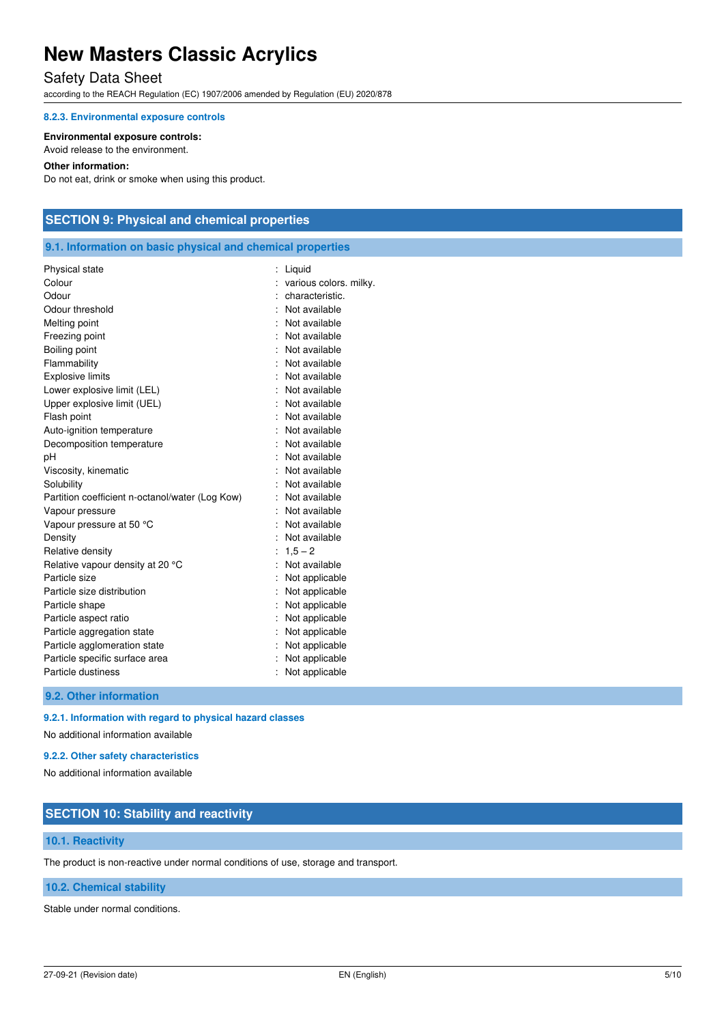# Safety Data Sheet

according to the REACH Regulation (EC) 1907/2006 amended by Regulation (EU) 2020/878

#### **8.2.3. Environmental exposure controls**

#### **Environmental exposure controls:**

Avoid release to the environment.

### **Other information:**

Do not eat, drink or smoke when using this product.

# **SECTION 9: Physical and chemical properties**

# **9.1. Information on basic physical and chemical properties**

| Physical state                                  | Liquid                 |
|-------------------------------------------------|------------------------|
| Colour                                          | various colors. milky. |
| Odour                                           | characteristic.        |
| Odour threshold                                 | Not available          |
| Melting point                                   | Not available          |
| Freezing point                                  | : Not available        |
| Boiling point                                   | : Not available        |
| Flammability                                    | Not available          |
| <b>Explosive limits</b>                         | Not available          |
| Lower explosive limit (LEL)                     | : Not available        |
| Upper explosive limit (UEL)                     | : Not available        |
| Flash point                                     | Not available          |
| Auto-ignition temperature                       | Not available          |
| Decomposition temperature                       | Not available          |
| рH                                              | Not available          |
| Viscosity, kinematic                            | Not available          |
| Solubility                                      | Not available          |
| Partition coefficient n-octanol/water (Log Kow) | : Not available        |
| Vapour pressure                                 | Not available          |
| Vapour pressure at 50 °C                        | Not available          |
| Density                                         | Not available          |
| Relative density                                | $1,5 - 2$              |
| Relative vapour density at 20 °C                | Not available          |
| Particle size                                   | Not applicable         |
| Particle size distribution                      | Not applicable         |
| Particle shape                                  | Not applicable         |
| Particle aspect ratio                           | Not applicable         |
| Particle aggregation state                      | Not applicable         |
| Particle agglomeration state                    | Not applicable         |
| Particle specific surface area                  | Not applicable         |
| Particle dustiness                              | Not applicable         |
|                                                 |                        |

**9.2. Other information** 

# **9.2.1. Information with regard to physical hazard classes**

No additional information available

# **9.2.2. Other safety characteristics**

No additional information available

# **SECTION 10: Stability and reactivity**

# **10.1. Reactivity**

The product is non-reactive under normal conditions of use, storage and transport.

# **10.2. Chemical stability**

Stable under normal conditions.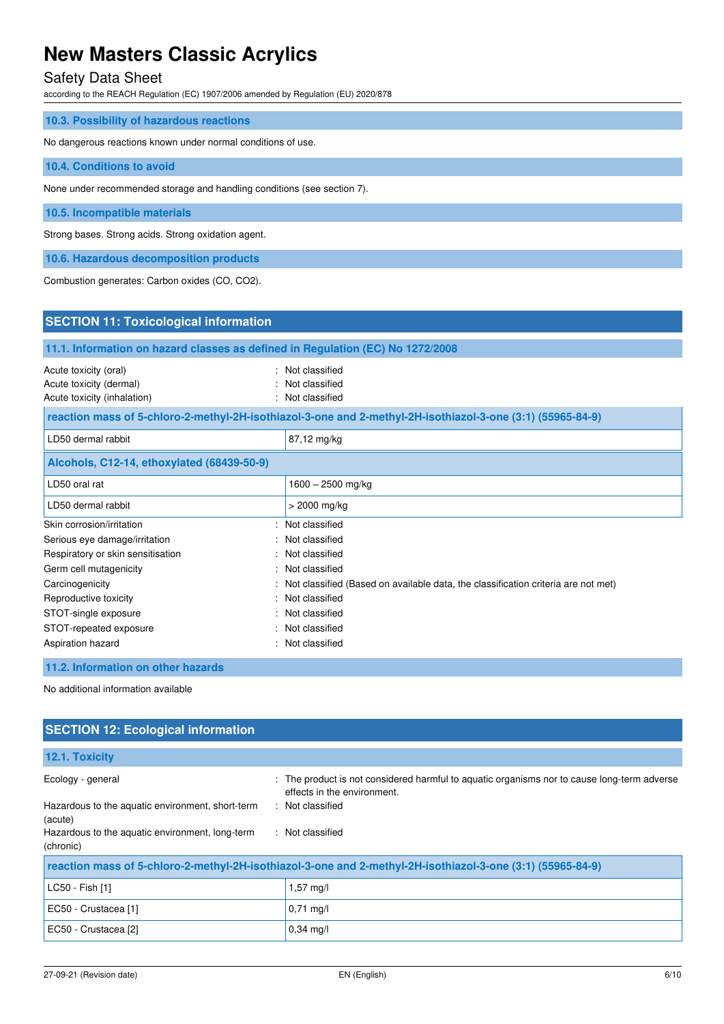# Safety Data Sheet

according to the REACH Regulation (EC) 1907/2006 amended by Regulation (EU) 2020/878

| 10.3. Possibility of hazardous reactions                                |  |
|-------------------------------------------------------------------------|--|
| No dangerous reactions known under normal conditions of use.            |  |
| 10.4. Conditions to avoid                                               |  |
| None under recommended storage and handling conditions (see section 7). |  |
| 10.5. Incompatible materials                                            |  |
| Strong bases. Strong acids. Strong oxidation agent.                     |  |
| 10.6. Hazardous decomposition products                                  |  |

Combustion generates: Carbon oxides (CO, CO2).

| <b>SECTION 11: Toxicological information</b>                                                                                                                                                  |                                                                                                                                                                                               |  |  |
|-----------------------------------------------------------------------------------------------------------------------------------------------------------------------------------------------|-----------------------------------------------------------------------------------------------------------------------------------------------------------------------------------------------|--|--|
| 11.1. Information on hazard classes as defined in Regulation (EC) No 1272/2008                                                                                                                |                                                                                                                                                                                               |  |  |
| Acute toxicity (oral)<br>۰.<br>Acute toxicity (dermal)<br>Acute toxicity (inhalation)                                                                                                         | Not classified<br>Not classified<br>Not classified                                                                                                                                            |  |  |
| reaction mass of 5-chloro-2-methyl-2H-isothiazol-3-one and 2-methyl-2H-isothiazol-3-one (3:1) (55965-84-9)                                                                                    |                                                                                                                                                                                               |  |  |
| LD50 dermal rabbit                                                                                                                                                                            | 87,12 mg/kg                                                                                                                                                                                   |  |  |
| Alcohols, C12-14, ethoxylated (68439-50-9)                                                                                                                                                    |                                                                                                                                                                                               |  |  |
| LD50 oral rat                                                                                                                                                                                 | $1600 - 2500$ mg/kg                                                                                                                                                                           |  |  |
| LD50 dermal rabbit                                                                                                                                                                            | $>$ 2000 mg/kg                                                                                                                                                                                |  |  |
| Skin corrosion/irritation<br>Serious eye damage/irritation<br>Respiratory or skin sensitisation<br>Germ cell mutagenicity<br>Carcinogenicity<br>Reproductive toxicity<br>STOT-single exposure | Not classified<br>Not classified<br>Not classified<br>Not classified<br>Not classified (Based on available data, the classification criteria are not met)<br>Not classified<br>Not classified |  |  |
| STOT-repeated exposure<br>Aspiration hazard                                                                                                                                                   | Not classified<br>Not classified                                                                                                                                                              |  |  |
| 11.2. Information on other hazards<br>When the statistics are all the figures of the continuation that the                                                                                    |                                                                                                                                                                                               |  |  |

No additional information available

| <b>SECTION 12: Ecological information</b>                    |                                                                                                                            |  |
|--------------------------------------------------------------|----------------------------------------------------------------------------------------------------------------------------|--|
| 12.1. Toxicity                                               |                                                                                                                            |  |
| Ecology - general                                            | : The product is not considered harmful to aquatic organisms nor to cause long-term adverse<br>effects in the environment. |  |
| Hazardous to the aquatic environment, short-term<br>(acute)  | : Not classified                                                                                                           |  |
| Hazardous to the aquatic environment, long-term<br>(chronic) | : Not classified                                                                                                           |  |
|                                                              | reaction mass of 5-chloro-2-methyl-2H-isothiazol-3-one and 2-methyl-2H-isothiazol-3-one (3:1) (55965-84-9)                 |  |
| LC50 - Fish [1]                                              | $1,57 \text{ ma/l}$                                                                                                        |  |
| EC50 - Crustacea [1]                                         | $0,71 \text{ mg/l}$                                                                                                        |  |
| EC50 - Crustacea [2]                                         | $0.34$ mg/l                                                                                                                |  |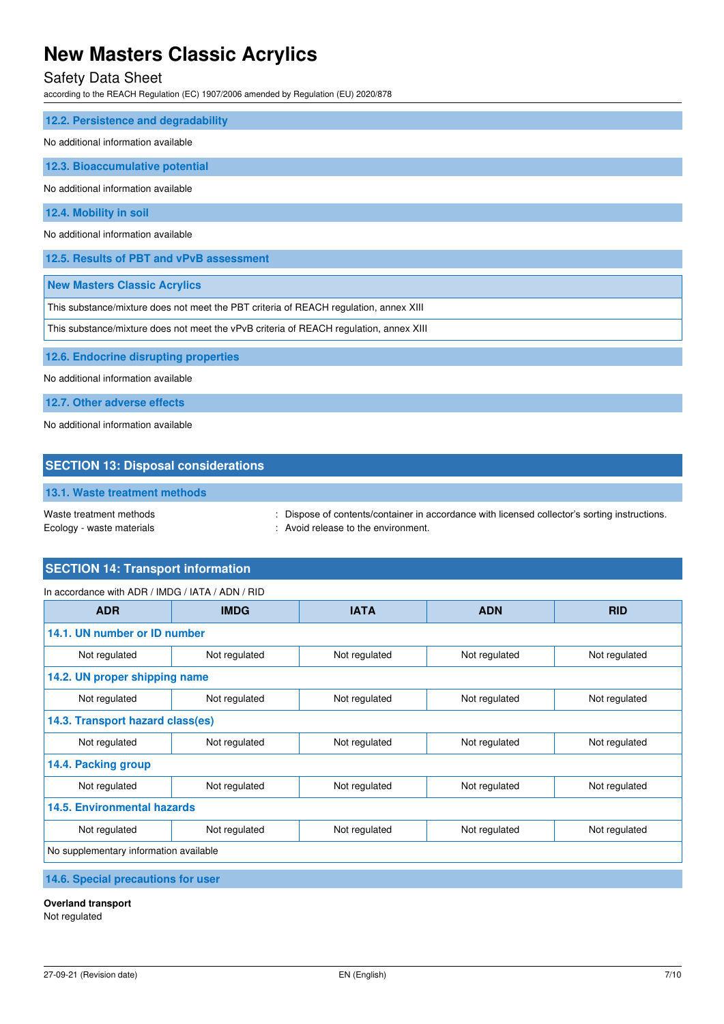# Safety Data Sheet

according to the REACH Regulation (EC) 1907/2006 amended by Regulation (EU) 2020/878

| 12.2. Persistence and degradability                                                    |  |
|----------------------------------------------------------------------------------------|--|
| No additional information available                                                    |  |
| 12.3. Bioaccumulative potential                                                        |  |
| No additional information available                                                    |  |
| 12.4. Mobility in soil                                                                 |  |
| No additional information available                                                    |  |
| 12.5. Results of PBT and vPvB assessment                                               |  |
| <b>New Masters Classic Acrylics</b>                                                    |  |
| This substance/mixture does not meet the PBT criteria of REACH regulation, annex XIII  |  |
| This substance/mixture does not meet the vPvB criteria of REACH regulation, annex XIII |  |
| 12.6. Endocrine disrupting properties                                                  |  |
| No additional information available                                                    |  |
|                                                                                        |  |

**12.7. Other adverse effects** 

No additional information available

# **SECTION 13: Disposal considerations**

# **13.1. Waste treatment methods**

Waste treatment methods : Dispose of contents/container in accordance with licensed collector's sorting instructions. Ecology - waste materials **Ecology** - waste materials **interval** and  $\cdot$  Avoid release to the environment.

# **SECTION 14: Transport information**

| <b>ADR</b>                             | <b>IMDG</b>                  | <b>IATA</b>   | <b>ADN</b>    | <b>RID</b>    |
|----------------------------------------|------------------------------|---------------|---------------|---------------|
|                                        | 14.1. UN number or ID number |               |               |               |
| Not regulated                          | Not regulated                | Not regulated | Not regulated | Not regulated |
| 14.2. UN proper shipping name          |                              |               |               |               |
| Not regulated                          | Not regulated                | Not regulated | Not regulated | Not regulated |
| 14.3. Transport hazard class(es)       |                              |               |               |               |
| Not regulated                          | Not regulated                | Not regulated | Not regulated | Not regulated |
| 14.4. Packing group                    |                              |               |               |               |
| Not regulated                          | Not regulated                | Not regulated | Not regulated | Not regulated |
| <b>14.5. Environmental hazards</b>     |                              |               |               |               |
| Not regulated                          | Not regulated                | Not regulated | Not regulated | Not regulated |
| No supplementary information available |                              |               |               |               |

# **14.6. Special precautions for user**

### **Overland transport**

Not regulated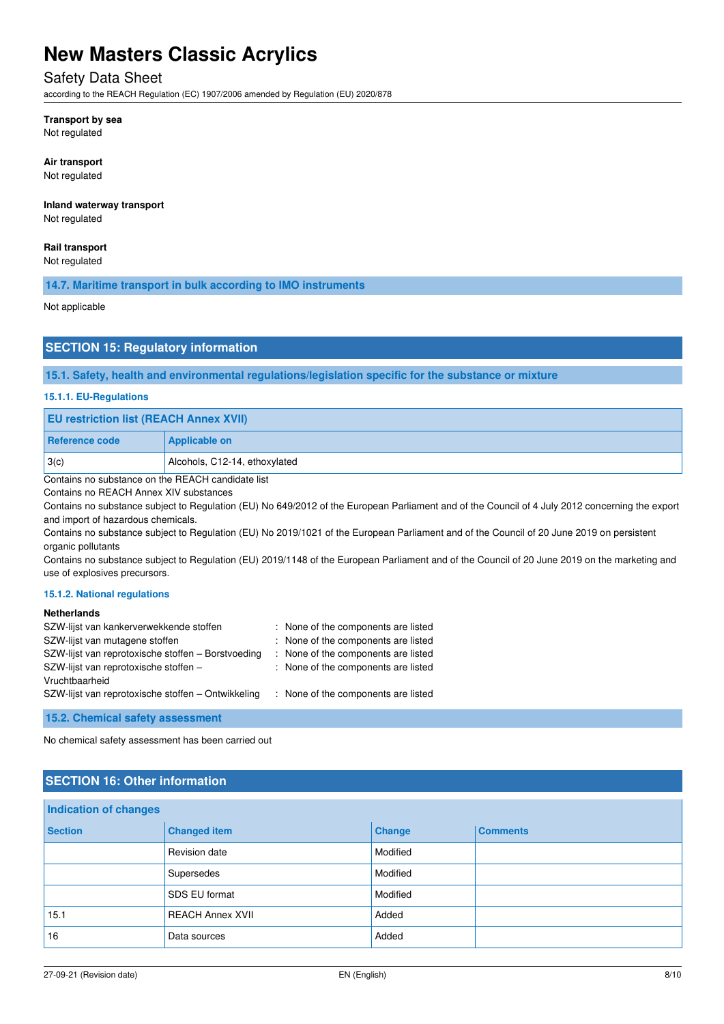# Safety Data Sheet

according to the REACH Regulation (EC) 1907/2006 amended by Regulation (EU) 2020/878

# **Transport by sea**

Not regulated

#### **Air transport**

Not regulated

# **Inland waterway transport**

Not regulated

### **Rail transport**

Not regulated

## **14.7. Maritime transport in bulk according to IMO instruments**

Not applicable

# **SECTION 15: Regulatory information**

### **15.1. Safety, health and environmental regulations/legislation specific for the substance or mixture**

#### **15.1.1. EU-Regulations**

| <b>EU restriction list (REACH Annex XVII)</b>                       |                               |
|---------------------------------------------------------------------|-------------------------------|
| Reference code                                                      | <b>Applicable on</b>          |
| 3(c)                                                                | Alcohols, C12-14, ethoxylated |
| $\sim$ $\sim$ $\sim$<br>$\cdots$ $\sim$ $\sim$ $\sim$ $\cdots$<br>. |                               |

Contains no substance on the REACH candidate list

Contains no REACH Annex XIV substances

Contains no substance subject to Regulation (EU) No 649/2012 of the European Parliament and of the Council of 4 July 2012 concerning the export and import of hazardous chemicals.

Contains no substance subject to Regulation (EU) No 2019/1021 of the European Parliament and of the Council of 20 June 2019 on persistent organic pollutants

Contains no substance subject to Regulation (EU) 2019/1148 of the European Parliament and of the Council of 20 June 2019 on the marketing and use of explosives precursors.

### **15.1.2. National regulations**

### **Netherlands**

| SZW-lijst van kankerverwekkende stoffen            | : None of the components are listed |
|----------------------------------------------------|-------------------------------------|
| SZW-lijst van mutagene stoffen                     | : None of the components are listed |
| SZW-lijst van reprotoxische stoffen - Borstvoeding | : None of the components are listed |
| SZW-lijst van reprotoxische stoffen -              | : None of the components are listed |
| Vruchtbaarheid                                     |                                     |
| SZW-lijst van reprotoxische stoffen – Ontwikkeling | : None of the components are listed |

**15.2. Chemical safety assessment** 

No chemical safety assessment has been carried out

# **SECTION 16: Other information**

| <b>Indication of changes</b> |                         |               |                 |
|------------------------------|-------------------------|---------------|-----------------|
| <b>Section</b>               | <b>Changed item</b>     | <b>Change</b> | <b>Comments</b> |
|                              | Revision date           | Modified      |                 |
|                              | Supersedes              | Modified      |                 |
|                              | SDS EU format           | Modified      |                 |
| 15.1                         | <b>REACH Annex XVII</b> | Added         |                 |
| 16                           | Data sources            | Added         |                 |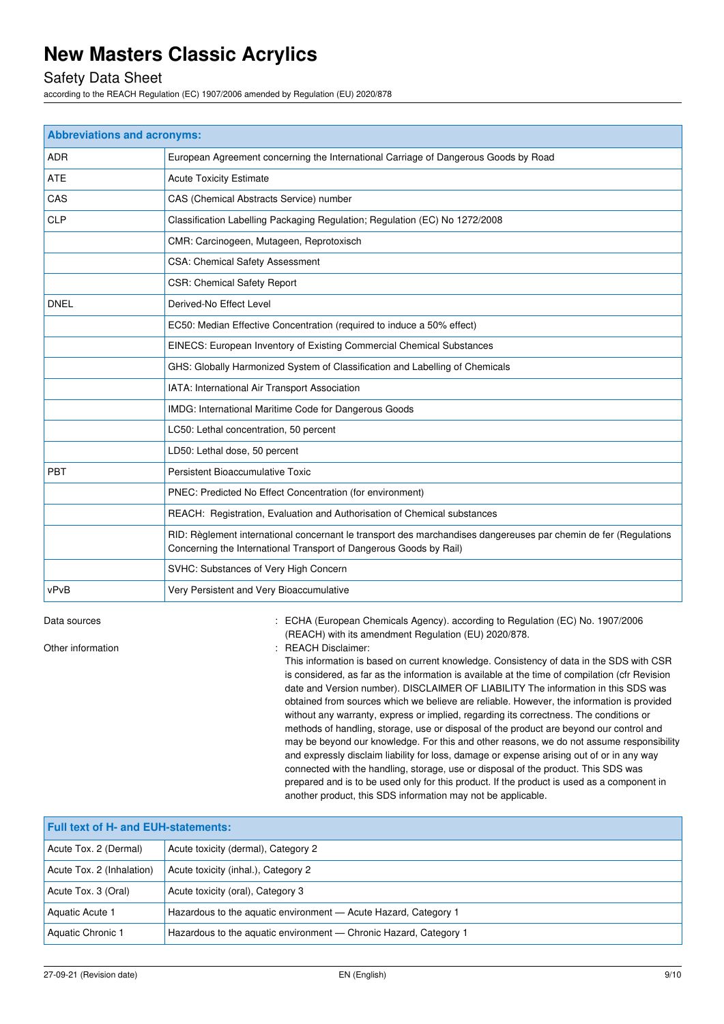# Safety Data Sheet

according to the REACH Regulation (EC) 1907/2006 amended by Regulation (EU) 2020/878

| <b>Abbreviations and acronyms:</b> |                                                                                                                                                                                        |
|------------------------------------|----------------------------------------------------------------------------------------------------------------------------------------------------------------------------------------|
| <b>ADR</b>                         | European Agreement concerning the International Carriage of Dangerous Goods by Road                                                                                                    |
| <b>ATE</b>                         | <b>Acute Toxicity Estimate</b>                                                                                                                                                         |
| CAS                                | CAS (Chemical Abstracts Service) number                                                                                                                                                |
| <b>CLP</b>                         | Classification Labelling Packaging Regulation; Regulation (EC) No 1272/2008                                                                                                            |
|                                    | CMR: Carcinogeen, Mutageen, Reprotoxisch                                                                                                                                               |
|                                    | CSA: Chemical Safety Assessment                                                                                                                                                        |
|                                    | <b>CSR: Chemical Safety Report</b>                                                                                                                                                     |
| <b>DNEL</b>                        | Derived-No Effect Level                                                                                                                                                                |
|                                    | EC50: Median Effective Concentration (required to induce a 50% effect)                                                                                                                 |
|                                    | EINECS: European Inventory of Existing Commercial Chemical Substances                                                                                                                  |
|                                    | GHS: Globally Harmonized System of Classification and Labelling of Chemicals                                                                                                           |
|                                    | IATA: International Air Transport Association                                                                                                                                          |
|                                    | IMDG: International Maritime Code for Dangerous Goods                                                                                                                                  |
|                                    | LC50: Lethal concentration, 50 percent                                                                                                                                                 |
|                                    | LD50: Lethal dose, 50 percent                                                                                                                                                          |
| PBT                                | Persistent Bioaccumulative Toxic                                                                                                                                                       |
|                                    | PNEC: Predicted No Effect Concentration (for environment)                                                                                                                              |
|                                    | REACH: Registration, Evaluation and Authorisation of Chemical substances                                                                                                               |
|                                    | RID: Règlement international concernant le transport des marchandises dangereuses par chemin de fer (Regulations<br>Concerning the International Transport of Dangerous Goods by Rail) |
|                                    | SVHC: Substances of Very High Concern                                                                                                                                                  |
| vPvB                               | Very Persistent and Very Bioaccumulative                                                                                                                                               |

Data sources **1997/2006** : ECHA (European Chemicals Agency). according to Regulation (EC) No. 1907/2006 (REACH) with its amendment Regulation (EU) 2020/878.

Other information **in the contract of the Contract Contract Contract Contract Contract Contract Contract Contract Contract Contract Contract Contract Contract Contract Contract Contract Contract Contract Contract Contract** 

This information is based on current knowledge. Consistency of data in the SDS with CSR is considered, as far as the information is available at the time of compilation (cfr Revision date and Version number). DISCLAIMER OF LIABILITY The information in this SDS was obtained from sources which we believe are reliable. However, the information is provided without any warranty, express or implied, regarding its correctness. The conditions or methods of handling, storage, use or disposal of the product are beyond our control and may be beyond our knowledge. For this and other reasons, we do not assume responsibility and expressly disclaim liability for loss, damage or expense arising out of or in any way connected with the handling, storage, use or disposal of the product. This SDS was prepared and is to be used only for this product. If the product is used as a component in another product, this SDS information may not be applicable.

| <b>Full text of H- and EUH-statements:</b> |                                                                   |
|--------------------------------------------|-------------------------------------------------------------------|
| Acute Tox. 2 (Dermal)                      | Acute toxicity (dermal), Category 2                               |
| Acute Tox. 2 (Inhalation)                  | Acute toxicity (inhal.), Category 2                               |
| Acute Tox. 3 (Oral)                        | Acute toxicity (oral), Category 3                                 |
| Aquatic Acute 1                            | Hazardous to the aguatic environment - Acute Hazard, Category 1   |
| Aquatic Chronic 1                          | Hazardous to the aguatic environment — Chronic Hazard, Category 1 |